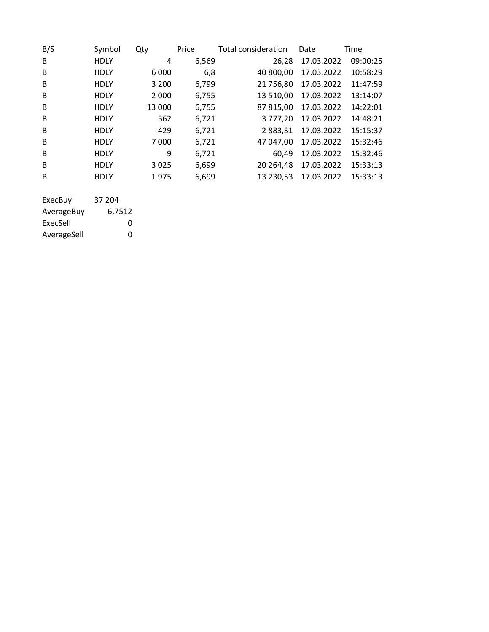| B/S             | Symbol      | Qty     | Price | <b>Total consideration</b> | Date       | Time     |
|-----------------|-------------|---------|-------|----------------------------|------------|----------|
| B               | <b>HDLY</b> | 4       | 6,569 | 26,28                      | 17.03.2022 | 09:00:25 |
| B               | <b>HDLY</b> | 6 0 0 0 | 6,8   | 40 800,00                  | 17.03.2022 | 10:58:29 |
| B               | <b>HDLY</b> | 3 2 0 0 | 6,799 | 21 756,80                  | 17.03.2022 | 11:47:59 |
| B               | <b>HDLY</b> | 2 0 0 0 | 6,755 | 13 510,00                  | 17.03.2022 | 13:14:07 |
| B               | <b>HDLY</b> | 13 000  | 6,755 | 87 815,00                  | 17.03.2022 | 14:22:01 |
| B               | <b>HDLY</b> | 562     | 6,721 | 3 777,20                   | 17.03.2022 | 14:48:21 |
| B               | <b>HDLY</b> | 429     | 6,721 | 2 883,31                   | 17.03.2022 | 15:15:37 |
| B               | <b>HDLY</b> | 7000    | 6,721 | 47 047,00                  | 17.03.2022 | 15:32:46 |
| B               | <b>HDLY</b> | 9       | 6,721 | 60,49                      | 17.03.2022 | 15:32:46 |
| B               | <b>HDLY</b> | 3 0 2 5 | 6,699 | 20 264,48                  | 17.03.2022 | 15:33:13 |
| B               | <b>HDLY</b> | 1975    | 6,699 | 13 230,53                  | 17.03.2022 | 15:33:13 |
|                 |             |         |       |                            |            |          |
| <b>EvecRing</b> | 27 JNA      |         |       |                            |            |          |

| ExecBuv     | 37 204 |
|-------------|--------|
| AverageBuy  | 6,7512 |
| ExecSell    | O      |
| AverageSell | O      |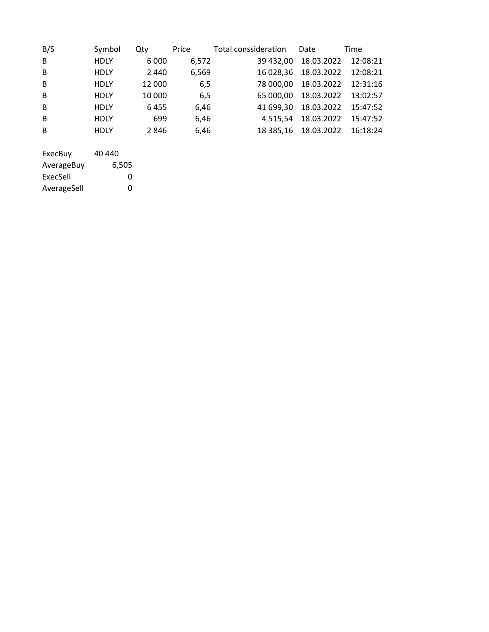| B/S | Symbol      | Qty     | Price | Total conssideration | Date                          | Time     |
|-----|-------------|---------|-------|----------------------|-------------------------------|----------|
| B   | <b>HDLY</b> | 6 0 0 0 | 6,572 |                      | 39 432,00 18.03.2022 12:08:21 |          |
| B   | <b>HDLY</b> | 2440    | 6,569 |                      | 16 028,36 18.03.2022          | 12:08:21 |
| B   | <b>HDLY</b> | 12 000  | 6,5   |                      | 78 000,00 18.03.2022          | 12:31:16 |
| B   | <b>HDLY</b> | 10 000  | 6,5   |                      | 65 000,00 18.03.2022          | 13:02:57 |
| B   | <b>HDLY</b> | 6455    | 6,46  |                      | 41 699,30 18.03.2022 15:47:52 |          |
| B   | <b>HDLY</b> | 699     | 6,46  |                      | 4 5 15, 54 18.03.2022         | 15:47:52 |
| B   | <b>HDLY</b> | 2846    | 6,46  |                      | 18 385,16 18.03.2022 16:18:24 |          |
|     |             |         |       |                      |                               |          |
|     |             |         |       |                      |                               |          |

| ExecBuy     | 40 440 |
|-------------|--------|
| AverageBuy  | 6,505  |
| ExecSell    | n      |
| AverageSell | O      |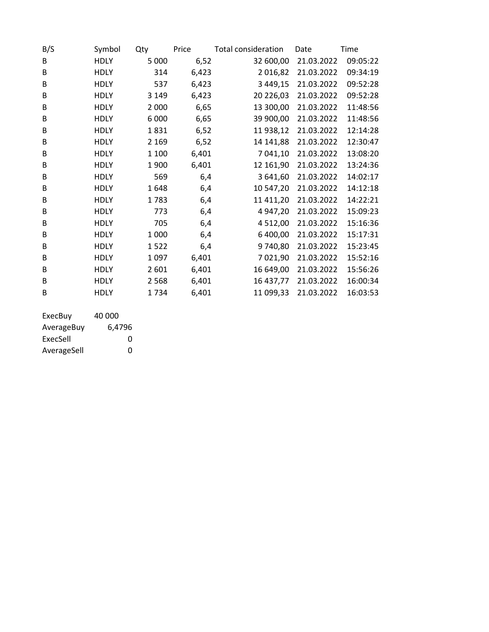| B/S | Symbol      | Qty     | Price | Total consideration | Date       | Time     |
|-----|-------------|---------|-------|---------------------|------------|----------|
| B   | <b>HDLY</b> | 5 0 0 0 | 6,52  | 32 600,00           | 21.03.2022 | 09:05:22 |
| B   | <b>HDLY</b> | 314     | 6,423 | 2016,82             | 21.03.2022 | 09:34:19 |
| B   | <b>HDLY</b> | 537     | 6,423 | 3 4 4 9 , 15        | 21.03.2022 | 09:52:28 |
| B   | <b>HDLY</b> | 3 1 4 9 | 6,423 | 20 226,03           | 21.03.2022 | 09:52:28 |
| В   | <b>HDLY</b> | 2 0 0 0 | 6,65  | 13 300,00           | 21.03.2022 | 11:48:56 |
| B   | <b>HDLY</b> | 6000    | 6,65  | 39 900,00           | 21.03.2022 | 11:48:56 |
| B   | <b>HDLY</b> | 1831    | 6,52  | 11 938,12           | 21.03.2022 | 12:14:28 |
| B   | <b>HDLY</b> | 2 1 6 9 | 6,52  | 14 141,88           | 21.03.2022 | 12:30:47 |
| B   | <b>HDLY</b> | 1 1 0 0 | 6,401 | 7 041,10            | 21.03.2022 | 13:08:20 |
| B   | <b>HDLY</b> | 1900    | 6,401 | 12 161,90           | 21.03.2022 | 13:24:36 |
| B   | <b>HDLY</b> | 569     | 6,4   | 3 641,60            | 21.03.2022 | 14:02:17 |
| B   | <b>HDLY</b> | 1648    | 6,4   | 10 547,20           | 21.03.2022 | 14:12:18 |
| B   | <b>HDLY</b> | 1783    | 6,4   | 11 411,20           | 21.03.2022 | 14:22:21 |
| B   | <b>HDLY</b> | 773     | 6,4   | 4 947,20            | 21.03.2022 | 15:09:23 |
| B   | <b>HDLY</b> | 705     | 6,4   | 4 5 1 2,00          | 21.03.2022 | 15:16:36 |
| B   | <b>HDLY</b> | 1000    | 6,4   | 6 400,00            | 21.03.2022 | 15:17:31 |
| B   | <b>HDLY</b> | 1522    | 6,4   | 9740,80             | 21.03.2022 | 15:23:45 |
| B   | <b>HDLY</b> | 1097    | 6,401 | 7 0 2 1,90          | 21.03.2022 | 15:52:16 |
| B   | <b>HDLY</b> | 2601    | 6,401 | 16 649,00           | 21.03.2022 | 15:56:26 |
| B   | <b>HDLY</b> | 2568    | 6,401 | 16 437,77           | 21.03.2022 | 16:00:34 |
| B   | <b>HDLY</b> | 1734    | 6,401 | 11 099,33           | 21.03.2022 | 16:03:53 |
|     |             |         |       |                     |            |          |

| ExecBuy     | 40 000 |
|-------------|--------|
| AverageBuy  | 6,4796 |
| ExecSell    | O      |
| AverageSell | O      |
|             |        |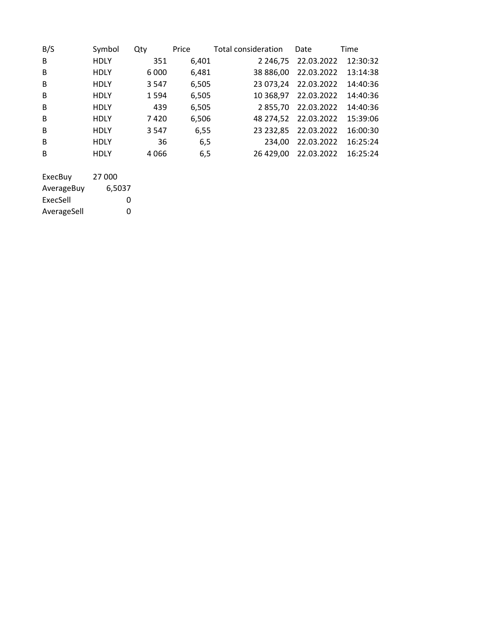| B/S     | Symbol      | Qty     | Price | Total consideration | Date       | Time     |
|---------|-------------|---------|-------|---------------------|------------|----------|
| B       | <b>HDLY</b> | 351     | 6,401 | 2 2 4 6 . 7 5       | 22.03.2022 | 12:30:32 |
| B       | <b>HDLY</b> | 6 0 0 0 | 6,481 | 38 886.00           | 22.03.2022 | 13:14:38 |
| B       | <b>HDLY</b> | 3 5 4 7 | 6,505 | 23 073,24           | 22.03.2022 | 14:40:36 |
| B       | <b>HDLY</b> | 1 5 9 4 | 6,505 | 10 368,97           | 22.03.2022 | 14:40:36 |
| B       | <b>HDLY</b> | 439     | 6,505 | 2855.70             | 22.03.2022 | 14:40:36 |
| B       | <b>HDLY</b> | 7420    | 6,506 | 48 274.52           | 22.03.2022 | 15:39:06 |
| B       | <b>HDLY</b> | 3 5 4 7 | 6,55  | 23 232,85           | 22.03.2022 | 16:00:30 |
| B       | <b>HDLY</b> | 36      | 6,5   | 234.00              | 22.03.2022 | 16:25:24 |
| B       | <b>HDLY</b> | 4066    | 6,5   | 26 429,00           | 22.03.2022 | 16:25:24 |
|         |             |         |       |                     |            |          |
| ExecBuy | 27 000      |         |       |                     |            |          |
|         |             |         |       |                     |            |          |

| AverageBuy  | 6,5037 |
|-------------|--------|
| ExecSell    | O      |
| AverageSell | O      |